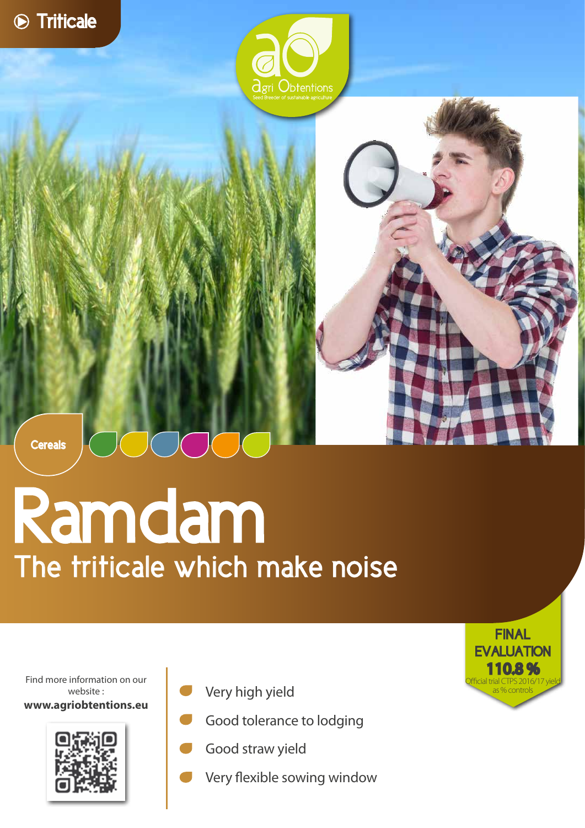



**Cereals** 

## Ramdam The triticale which make noise

Find more information on our website : **www.agriobtentions.eu**



- Very high yield
- Good tolerance to lodging
- Good straw yield
- Very flexible sowing window